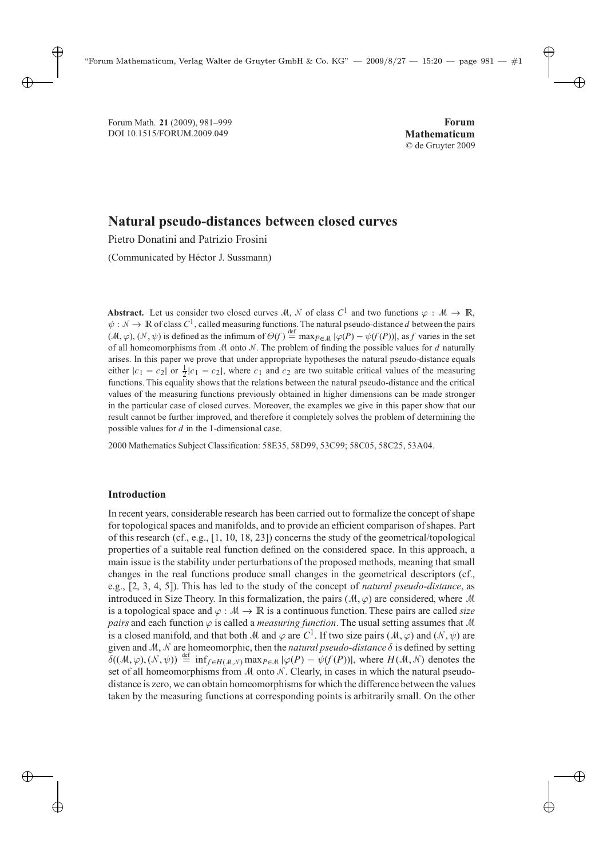# **Natural pseudo-distances between closed curves**

Pietro Donatini and Patrizio Frosini

(Communicated by Héctor J. Sussmann)

**Abstract.** Let us consider two closed curves M, N of class  $C^1$  and two functions  $\varphi : \mathcal{M} \to \mathbb{R}$ ,  $\psi : \mathcal{N} \to \mathbb{R}$  of class  $C^1$ , called measuring functions. The natural pseudo-distance d between the pairs  $(M, \varphi)$ ,  $(N, \psi)$  is defined as the infimum of  $\Theta(f) \stackrel{\text{def}}{=} \max_{P \in \mathcal{M}} |\varphi(P) - \psi(f(P))|$ , as *f* varies in the set of all homeomorphisms from  $\mathcal M$  onto  $\mathcal N$ . The problem of finding the possible values for d naturally arises. In this paper we prove that under appropriate hypotheses the natural pseudo-distance equals either  $|c_1 - c_2|$  or  $\frac{1}{2}|c_1 - c_2|$ , where  $c_1$  and  $c_2$  are two suitable critical values of the measuring functions. This equality shows that the relations between the natural pseudo-distance and the critical values of the measuring functions previously obtained in higher dimensions can be made stronger in the particular case of closed curves. Moreover, the examples we give in this paper show that our result cannot be further improved, and therefore it completely solves the problem of determining the possible values for  $d$  in the 1-dimensional case.

2000 Mathematics Subject Classification: 58E35, 58D99, 53C99; 58C05, 58C25, 53A04.

# **Introduction**

In recent years, considerable research has been carried out to formalize the concept of shape for topological spaces and manifolds, and to provide an efficient comparison of shapes. Part of this research (cf., e.g., [1, 10, 18, 23]) concerns the study of the geometrical/topological properties of a suitable real function defined on the considered space. In this approach, a main issue is the stability under perturbations of the proposed methods, meaning that small changes in the real functions produce small changes in the geometrical descriptors (cf., e.g., [2, 3, 4, 5]). This has led to the study of the concept of *natural pseudo-distance*, as introduced in Size Theory. In this formalization, the pairs  $(M, \varphi)$  are considered, where M is a topological space and  $\varphi : \mathcal{M} \to \mathbb{R}$  is a continuous function. These pairs are called *size pairs* and each function  $\varphi$  is called a *measuring function*. The usual setting assumes that M is a closed manifold, and that both M and  $\varphi$  are C<sup>1</sup>. If two size pairs (M,  $\varphi$ ) and (N,  $\psi$ ) are given and M, N are homeomorphic, then the *natural pseudo-distance* δ is defined by setting  $\delta((\mathcal{M}, \varphi), (\mathcal{N}, \psi)) \stackrel{\text{def}}{=} \inf_{f \in H(\mathcal{M}, \mathcal{N})} \max_{P \in \mathcal{M}} |\varphi(P) - \psi(f(P))|$ , where  $H(\mathcal{M}, \mathcal{N})$  denotes the set of all homeomorphisms from  $M$  onto  $N$ . Clearly, in cases in which the natural pseudodistance is zero, we can obtain homeomorphisms for which the difference between the values taken by the measuring functions at corresponding points is arbitrarily small. On the other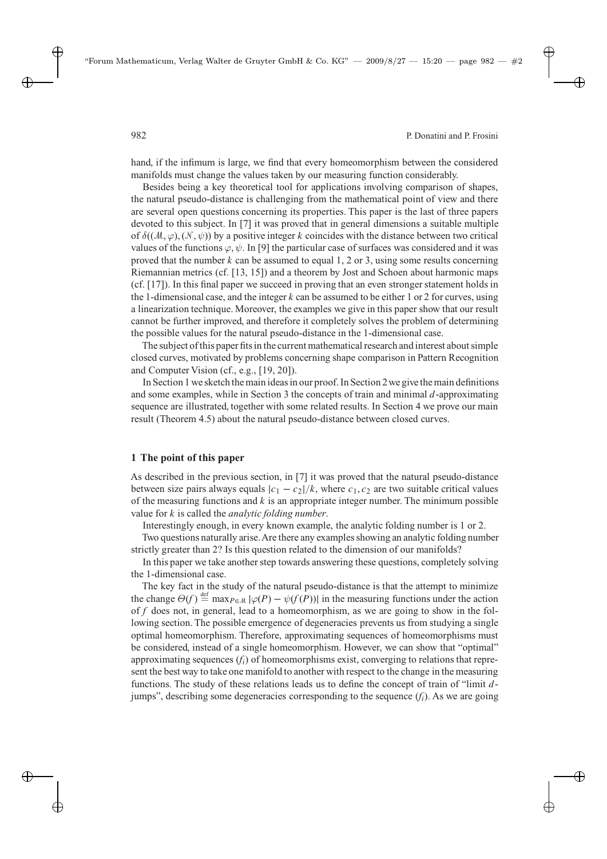hand, if the infimum is large, we find that every homeomorphism between the considered manifolds must change the values taken by our measuring function considerably.

Besides being a key theoretical tool for applications involving comparison of shapes, the natural pseudo-distance is challenging from the mathematical point of view and there are several open questions concerning its properties. This paper is the last of three papers devoted to this subject. In [7] it was proved that in general dimensions a suitable multiple of  $\delta((\mathcal{M}, \varphi), (\mathcal{N}, \psi))$  by a positive integer k coincides with the distance between two critical values of the functions  $\varphi, \psi$ . In [9] the particular case of surfaces was considered and it was proved that the number k can be assumed to equal  $1, 2$  or 3, using some results concerning Riemannian metrics (cf. [13, 15]) and a theorem by Jost and Schoen about harmonic maps (cf. [17]). In this final paper we succeed in proving that an even stronger statement holds in the 1-dimensional case, and the integer k can be assumed to be either 1 or 2 for curves, using a linearization technique. Moreover, the examples we give in this paper show that our result cannot be further improved, and therefore it completely solves the problem of determining the possible values for the natural pseudo-distance in the 1-dimensional case.

The subject of this paper fits in the current mathematical research and interest about simple closed curves, motivated by problems concerning shape comparison in Pattern Recognition and Computer Vision (cf., e.g., [19, 20]).

In Section 1 we sketch the main ideas in our proof. In Section 2 we givethe main definitions and some examples, while in Section 3 the concepts of train and minimal d-approximating sequence are illustrated, together with some related results. In Section 4 we prove our main result (Theorem 4.5) about the natural pseudo-distance between closed curves.

### **1 The point of this paper**

As described in the previous section, in [7] it was proved that the natural pseudo-distance between size pairs always equals  $|c_1 - c_2|/k$ , where  $c_1, c_2$  are two suitable critical values of the measuring functions and  $k$  is an appropriate integer number. The minimum possible value for k is called the *analytic folding number*.

Interestingly enough, in every known example, the analytic folding number is 1 or 2. Two questions naturally arise.Are there any examples showing an analytic folding number strictly greater than 2? Is this question related to the dimension of our manifolds?

In this paper we take another step towards answering these questions, completely solving the 1-dimensional case.

The key fact in the study of the natural pseudo-distance is that the attempt to minimize the change  $\Theta(f) \stackrel{\text{def}}{=} \max_{P \in \mathcal{M}} |\varphi(P) - \psi(f(P))|$  in the measuring functions under the action of *f* does not, in general, lead to a homeomorphism, as we are going to show in the following section. The possible emergence of degeneracies prevents us from studying a single optimal homeomorphism. Therefore, approximating sequences of homeomorphisms must be considered, instead of a single homeomorphism. However, we can show that "optimal" approximating sequences  $(f_i)$  of homeomorphisms exist, converging to relations that represent the best way to take one manifold to another with respect to the change in the measuring functions. The study of these relations leads us to define the concept of train of "limit djumps", describing some degeneracies corresponding to the sequence  $(f_i)$ . As we are going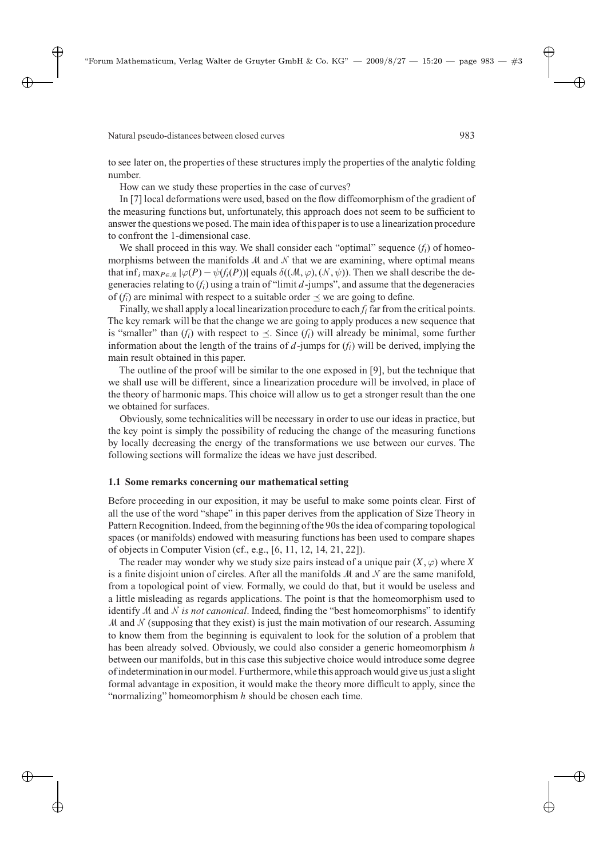to see later on, the properties of these structures imply the properties of the analytic folding number.

How can we study these properties in the case of curves?

In [7] local deformations were used, based on the flow diffeomorphism of the gradient of the measuring functions but, unfortunately, this approach does not seem to be sufficient to answer the questions we posed.The main idea of this paper is to use a linearization procedure to confront the 1-dimensional case.

We shall proceed in this way. We shall consider each "optimal" sequence  $(f_i)$  of homeomorphisms between the manifolds  $M$  and  $N$  that we are examining, where optimal means that inf<sub>i</sub> max<sub>P∈M</sub>  $|\varphi(P) - \psi(f_i(P))|$  equals  $\delta((\mathcal{M}, \varphi), (\mathcal{N}, \psi))$ . Then we shall describe the degeneracies relating to  $(f_i)$  using a train of "limit  $d$ -jumps", and assume that the degeneracies of  $(f_i)$  are minimal with respect to a suitable order  $\prec$  we are going to define.

Finally, we shall apply a local linearization procedure to each *f*<sup>i</sup> far from the critical points. The key remark will be that the change we are going to apply produces a new sequence that is "smaller" than  $(f_i)$  with respect to  $\preceq$ . Since  $(f_i)$  will already be minimal, some further information about the length of the trains of  $d$ -jumps for  $(f<sub>i</sub>)$  will be derived, implying the main result obtained in this paper.

The outline of the proof will be similar to the one exposed in [9], but the technique that we shall use will be different, since a linearization procedure will be involved, in place of the theory of harmonic maps. This choice will allow us to get a stronger result than the one we obtained for surfaces.

Obviously, some technicalities will be necessary in order to use our ideas in practice, but the key point is simply the possibility of reducing the change of the measuring functions by locally decreasing the energy of the transformations we use between our curves. The following sections will formalize the ideas we have just described.

### **1.1 Some remarks concerning our mathematical setting**

Before proceeding in our exposition, it may be useful to make some points clear. First of all the use of the word "shape" in this paper derives from the application of Size Theory in Pattern Recognition. Indeed, from the beginning of the 90s the idea of comparing topological spaces (or manifolds) endowed with measuring functions has been used to compare shapes of objects in Computer Vision (cf., e.g., [6, 11, 12, 14, 21, 22]).

The reader may wonder why we study size pairs instead of a unique pair  $(X, \varphi)$  where X is a finite disjoint union of circles. After all the manifolds M and N are the same manifold, from a topological point of view. Formally, we could do that, but it would be useless and a little misleading as regards applications. The point is that the homeomorphism used to identify M and N *is not canonical*. Indeed, finding the "best homeomorphisms" to identify  $M$  and  $N$  (supposing that they exist) is just the main motivation of our research. Assuming to know them from the beginning is equivalent to look for the solution of a problem that has been already solved. Obviously, we could also consider a generic homeomorphism h between our manifolds, but in this case this subjective choice would introduce some degree of indeterminationin our model. Furthermore, whilethis approach would give us just a slight formal advantage in exposition, it would make the theory more difficult to apply, since the "normalizing" homeomorphism  $h$  should be chosen each time.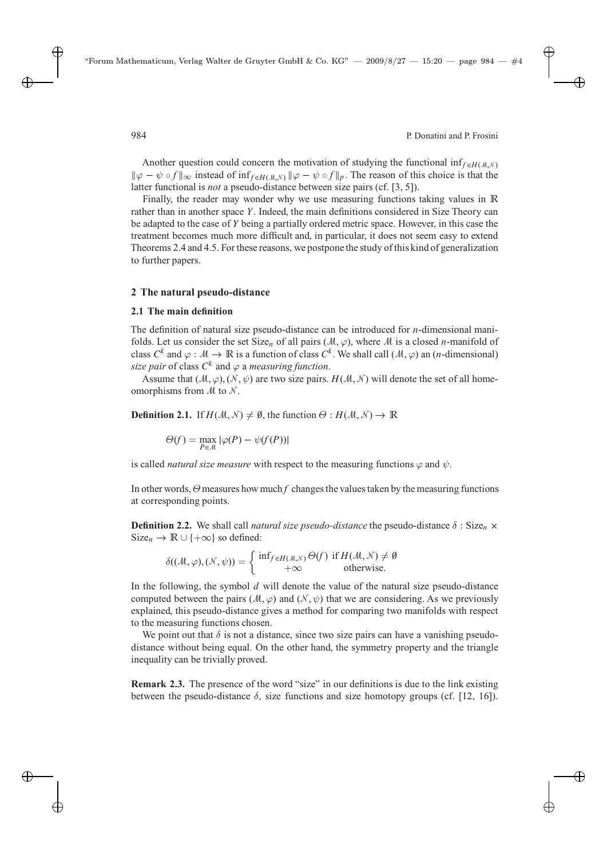Another question could concern the motivation of studying the functional inf $f \in H(M,N)$  $\|\varphi - \psi \circ f\|_{\infty}$  instead of inf<sub>feH(M,N)</sub>  $\|\varphi - \psi \circ f\|_{p}$ . The reason of this choice is that the latter functional is *not* a pseudo-distance between size pairs (cf. [3, 5]).

Finally, the reader may wonder why we use measuring functions taking values in **R** rather than in another space Y. Indeed, the main definitions considered in Size Theory can be adapted to the case of Y being a partially ordered metric space. However, in this case the treatment becomes much more difficult and, in particular, it does not seem easy to extend Theorems 2.4 and 4.5. For these reasons, we postponethe study of this kind of generalization to further papers.

## **2 The natural pseudo-distance**

## **2.1 The main definition**

The definition of natural size pseudo-distance can be introduced for  $n$ -dimensional manifolds. Let us consider the set Size<sub>n</sub> of all pairs ( $M, \varphi$ ), where M is a closed n-manifold of class  $C^k$  and  $\varphi : \mathcal{M} \to \mathbb{R}$  is a function of class  $C^k$ . We shall call  $(\mathcal{M}, \varphi)$  an (*n*-dimensional) *size pair* of class  $C^k$  and  $\varphi$  a *measuring function*.

Assume that  $(\mathcal{M}, \varphi), (\mathcal{N}, \psi)$  are two size pairs.  $H(\mathcal{M}, \mathcal{N})$  will denote the set of all homeomorphisms from  $M$  to  $N$ .

**Definition 2.1.** If  $H(\mathcal{M}, \mathcal{N}) \neq \emptyset$ , the function  $\Theta : H(\mathcal{M}, \mathcal{N}) \to \mathbb{R}$ 

$$
\Theta(f) = \max_{P \in \mathcal{M}} |\varphi(P) - \psi(f(P))|
$$

is called *natural size measure* with respect to the measuring functions  $\varphi$  and  $\psi$ .

In other words,  $\Theta$  measures how much  $f$  changes the values taken by the measuring functions at corresponding points.

**Definition 2.2.** We shall call *natural size pseudo-distance* the pseudo-distance  $\delta$  : Size<sub>n</sub>  $\times$ Size<sub>n</sub> →  $\mathbb{R} \cup \{+\infty\}$  so defined:

$$
\delta((\mathcal{M}, \varphi), (\mathcal{N}, \psi)) = \begin{cases} \inf_{f \in H(\mathcal{M}, \mathcal{N})} \Theta(f) & \text{if } H(\mathcal{M}, \mathcal{N}) \neq \emptyset \\ +\infty & \text{otherwise.} \end{cases}
$$

In the following, the symbol  $d$  will denote the value of the natural size pseudo-distance computed between the pairs ( $M$ , $\varphi$ ) and ( $\mathcal{N}$ , $\psi$ ) that we are considering. As we previously explained, this pseudo-distance gives a method for comparing two manifolds with respect to the measuring functions chosen.

We point out that  $\delta$  is not a distance, since two size pairs can have a vanishing pseudodistance without being equal. On the other hand, the symmetry property and the triangle inequality can be trivially proved.

**Remark 2.3.** The presence of the word "size" in our definitions is due to the link existing between the pseudo-distance  $\delta$ , size functions and size homotopy groups (cf. [12, 16]).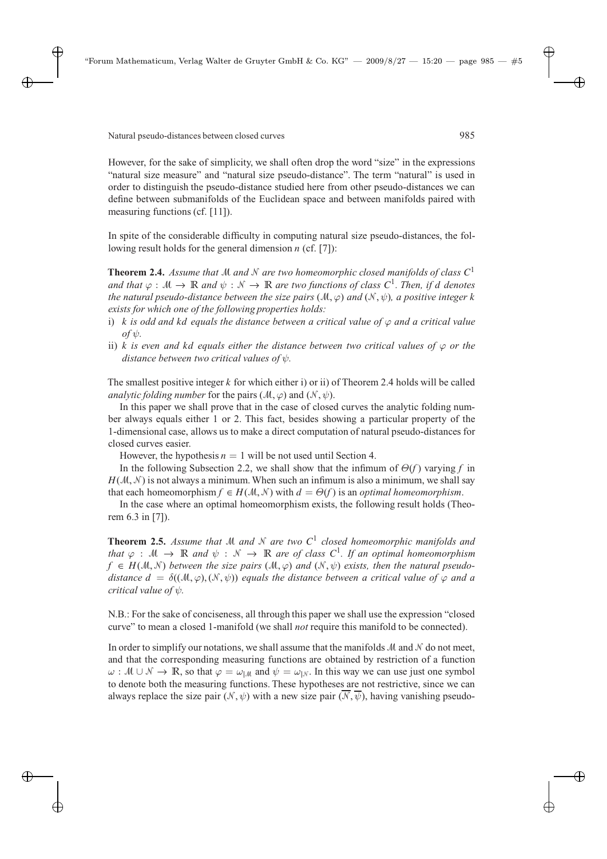However, for the sake of simplicity, we shall often drop the word "size" in the expressions "natural size measure" and "natural size pseudo-distance". The term "natural" is used in order to distinguish the pseudo-distance studied here from other pseudo-distances we can define between submanifolds of the Euclidean space and between manifolds paired with measuring functions (cf. [11]).

In spite of the considerable difficulty in computing natural size pseudo-distances, the following result holds for the general dimension  $n$  (cf. [7]):

**Theorem 2.4.** *Assume that*  $M$  *and*  $N$  *are two homeomorphic closed manifolds of class*  $C<sup>1</sup>$ *and that*  $\varphi : \mathcal{M} \to \mathbb{R}$  *and*  $\psi : \mathcal{N} \to \mathbb{R}$  *are two functions of class*  $C^1$ *. Then, if d denotes the natural pseudo-distance between the size pairs* ( $M, \varphi$ ) *and* ( $N, \psi$ )*, a positive integer* k *exists for which one of the following properties holds:*

- i) k is odd and kd equals the distance between a critical value of  $\varphi$  and a critical value  $of$   $\psi$ *.*
- ii) k *is even and kd equals either the distance between two critical values of*  $\varphi$  *or the distance between two critical values of* ψ*.*

The smallest positive integer k for which either i) or ii) of Theorem 2.4 holds will be called *analytic folding number* for the pairs  $(\mathcal{M}, \varphi)$  and  $(\mathcal{N}, \psi)$ .

In this paper we shall prove that in the case of closed curves the analytic folding number always equals either 1 or 2. This fact, besides showing a particular property of the 1-dimensional case, allows us to make a direct computation of natural pseudo-distances for closed curves easier.

However, the hypothesis  $n = 1$  will be not used until Section 4.

In the following Subsection 2.2, we shall show that the infimum of  $\Theta(f)$  varying *f* in  $H(M, N)$  is not always a minimum. When such an infimum is also a minimum, we shall say that each homeomorphism  $f \in H(M, \mathcal{N})$  with  $d = \Theta(f)$  is an *optimal homeomorphism*.

In the case where an optimal homeomorphism exists, the following result holds (Theorem 6.3 in [7]).

**Theorem 2.5.** *Assume that* M *and* N *are two*  $C<sup>1</sup>$  *closed homeomorphic manifolds and that*  $\varphi : \mathcal{M} \to \mathbb{R}$  *and*  $\psi : \mathcal{N} \to \mathbb{R}$  *are of class*  $C^1$ *. If an optimal homeomorphism*  $f \in H(M, N)$  *between the size pairs*  $(M, \varphi)$  *and*  $(N, \psi)$  *exists, then the natural pseudodistance*  $d = \delta((\mathcal{M}, \varphi), (\mathcal{N}, \psi))$  *equals the distance between a critical value of*  $\varphi$  *and a critical value of* ψ*.*

N.B.: For the sake of conciseness, all through this paper we shall use the expression "closed curve" to mean a closed 1-manifold (we shall *not* require this manifold to be connected).

In order to simplify our notations, we shall assume that the manifolds  $M$  and  $N$  do not meet, and that the corresponding measuring functions are obtained by restriction of a function  $\omega : \mathcal{M} \cup \mathcal{N} \to \mathbb{R}$ , so that  $\varphi = \omega_{\mathcal{M}}$  and  $\psi = \omega_{\mathcal{N}}$ . In this way we can use just one symbol to denote both the measuring functions. These hypotheses are not restrictive, since we can always replace the size pair  $(\mathcal{N}, \psi)$  with a new size pair  $(\mathcal{N}, \overline{\psi})$ , having vanishing pseudo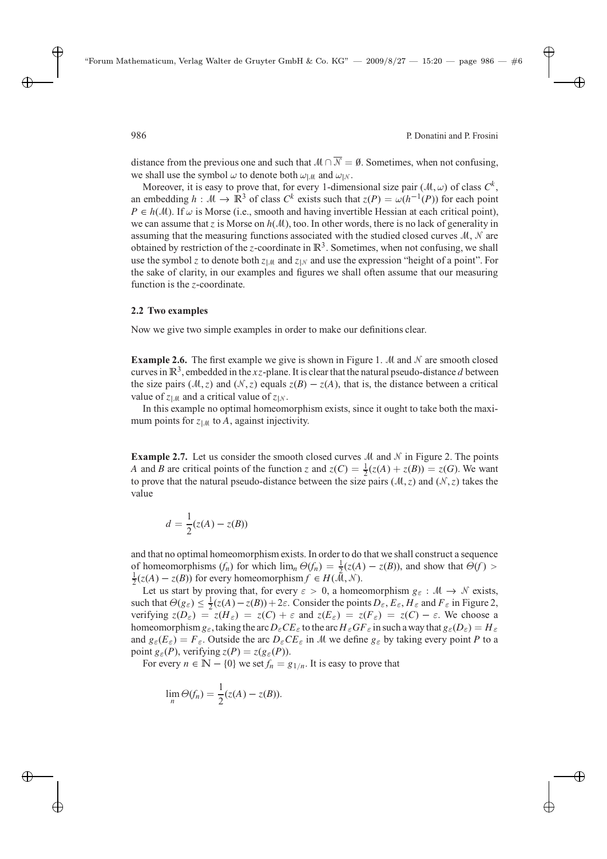distance from the previous one and such that  $M \cap \overline{N} = \emptyset$ . Sometimes, when not confusing, we shall use the symbol  $\omega$  to denote both  $\omega_{\text{LM}}$  and  $\omega_{\text{LN}}$ .

Moreover, it is easy to prove that, for every 1-dimensional size pair  $(M, \omega)$  of class  $C^k$ , an embedding  $h : \mathcal{M} \to \mathbb{R}^3$  of class  $C^k$  exists such that  $z(P) = \omega(h^{-1}(P))$  for each point  $P \in h(M)$ . If  $\omega$  is Morse (i.e., smooth and having invertible Hessian at each critical point), we can assume that z is Morse on  $h(M)$ , too. In other words, there is no lack of generality in assuming that the measuring functions associated with the studied closed curves  $M$ ,  $N$  are obtained by restriction of the z-coordinate in  $\mathbb{R}^3$ . Sometimes, when not confusing, we shall use the symbol z to denote both  $z_{\text{LM}}$  and  $z_{\text{LM}}$  and use the expression "height of a point". For the sake of clarity, in our examples and figures we shall often assume that our measuring function is the z-coordinate.

## **2.2 Two examples**

Now we give two simple examples in order to make our definitions clear.

**Example 2.6.** The first example we give is shown in Figure 1.  $M$  and  $N$  are smooth closed curves in  $\mathbb{R}^3$ , embedded in the xz-plane. It is clear that the natural pseudo-distance d between the size pairs ( $M$ , z) and ( $N$ , z) equals  $z(B) - z(A)$ , that is, the distance between a critical value of  $z_{|M}$  and a critical value of  $z_{|N}$ .

In this example no optimal homeomorphism exists, since it ought to take both the maximum points for  $z_{\vert M}$  to A, against injectivity.

**Example 2.7.** Let us consider the smooth closed curves M and N in Figure 2. The points A and B are critical points of the function z and  $z(C) = \frac{1}{2}(z(A) + z(B)) = z(G)$ . We want to prove that the natural pseudo-distance between the size pairs ( $M$ , z) and ( $N$ , z) takes the value

$$
d = \frac{1}{2}(z(A) - z(B))
$$

and that no optimal homeomorphism exists. In order to do that we shall construct a sequence of homeomorphisms  $(f_n)$  for which  $\lim_n \Theta(f_n) = \frac{1}{2}(z(A) - z(B))$ , and show that  $\Theta(f) >$  $\frac{1}{2}(z(A) - z(B))$  for every homeomorphism  $f \in H(\tilde{M}, \mathcal{N})$ .

Let us start by proving that, for every  $\varepsilon > 0$ , a homeomorphism  $g_{\varepsilon} : \mathcal{M} \to \mathcal{N}$  exists, such that  $\Theta(g_{\varepsilon}) \leq \frac{1}{2}(z(A) - z(B)) + 2\varepsilon$ . Consider the points  $D_{\varepsilon}$ ,  $E_{\varepsilon}$ ,  $H_{\varepsilon}$  and  $F_{\varepsilon}$  in Figure 2, verifying  $z(D_{\varepsilon}) = z(H_{\varepsilon}) = z(C) + \varepsilon$  and  $z(E_{\varepsilon}) = z(F_{\varepsilon}) = z(C) - \varepsilon$ . We choose a homeomorphism  $g_{\varepsilon}$ , taking the arc  $D_{\varepsilon}CE_{\varepsilon}$  to the arc  $H_{\varepsilon}GE_{\varepsilon}$  in such a way that  $g_{\varepsilon}(D_{\varepsilon})=H_{\varepsilon}$ and  $g_{\varepsilon}(E_{\varepsilon}) = F_{\varepsilon}$ . Outside the arc  $D_{\varepsilon}CE_{\varepsilon}$  in M we define  $g_{\varepsilon}$  by taking every point P to a point  $g_{\varepsilon}(P)$ , verifying  $z(P) = z(g_{\varepsilon}(P))$ .

For every  $n \in \mathbb{N} - \{0\}$  we set  $f_n = g_{1/n}$ . It is easy to prove that

$$
\lim_{n} \Theta(f_n) = \frac{1}{2}(z(A) - z(B)).
$$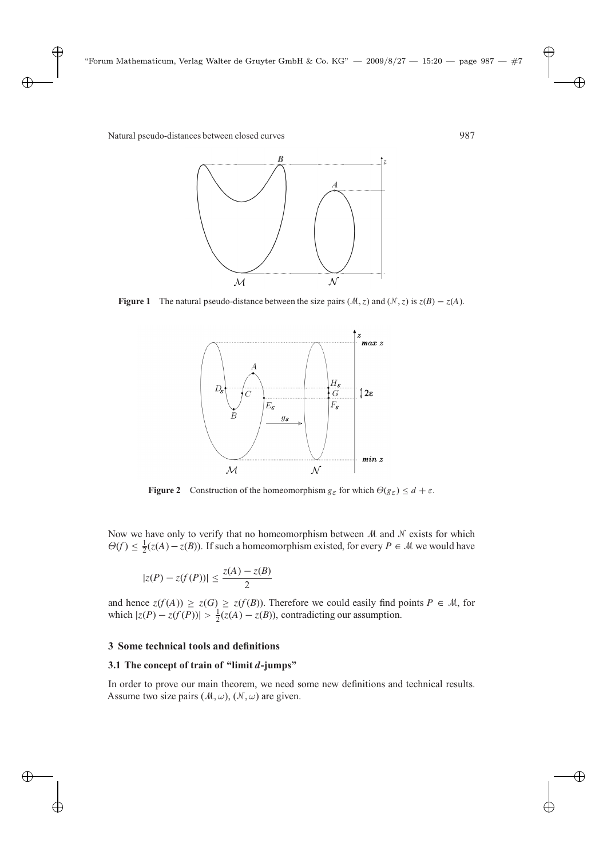

**Figure 1** The natural pseudo-distance between the size pairs  $(M, z)$  and  $(N, z)$  is  $z(B) - z(A)$ .



**Figure 2** Construction of the homeomorphism  $g_{\varepsilon}$  for which  $\Theta(g_{\varepsilon}) \leq d + \varepsilon$ .

Now we have only to verify that no homeomorphism between  $M$  and  $N$  exists for which  $\Theta(f) \leq \frac{1}{2}(z(A) - z(B))$ . If such a homeomorphism existed, for every  $P \in \mathcal{M}$  we would have

$$
|z(P) - z(f(P))| \le \frac{z(A) - z(B)}{2}
$$

and hence  $z(f(A)) \ge z(G) \ge z(f(B))$ . Therefore we could easily find points  $P \in \mathcal{M}$ , for which  $|z(P) - z(f(P))| > \frac{1}{2}(z(A) - z(B))$ , contradicting our assumption.

## **3 Some technical tools and definitions**

## **3.1 The concept of train of "limit d-jumps"**

In order to prove our main theorem, we need some new definitions and technical results. Assume two size pairs  $(M, \omega)$ ,  $(N, \omega)$  are given.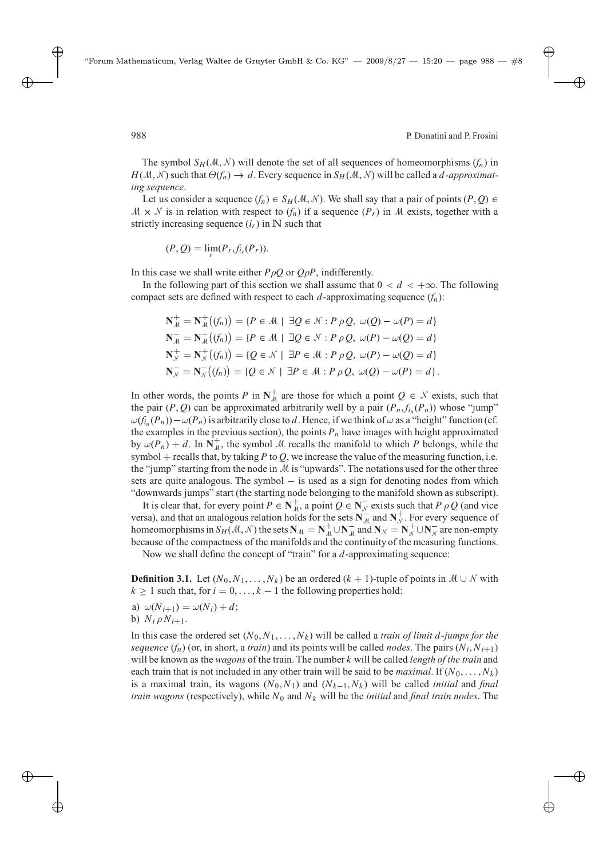The symbol  $S_H(\mathcal{M}, \mathcal{N})$  will denote the set of all sequences of homeomorphisms  $(f_n)$  in  $H(M, N)$  such that  $\Theta(f_n) \to d$ . Every sequence in  $S_H(M, N)$  will be called a *d*-approximat*ing sequence*.

Let us consider a sequence  $(f_n) \in S_H(\mathcal{M}, \mathcal{N})$ . We shall say that a pair of points  $(P, Q) \in$  $M \times N$  is in relation with respect to  $(f_n)$  if a sequence  $(P_r)$  in M exists, together with a strictly increasing sequence  $(i_r)$  in N such that

$$
(P,Q)=\lim_{r}(P_r,f_{i_r}(P_r)).
$$

In this case we shall write either  $P_{\rho}Q$  or  $Q_{\rho}P$ , indifferently.

In the following part of this section we shall assume that  $0 < d < +\infty$ . The following compact sets are defined with respect to each  $d$ -approximating sequence  $(f_n)$ :

$$
\mathbf{N}_{\mathcal{M}}^{+} = \mathbf{N}_{\mathcal{M}}^{+}((f_{n})) = \{ P \in \mathcal{M} \mid \exists Q \in \mathcal{N} : P \rho Q, \ \omega(Q) - \omega(P) = d \}
$$
\n
$$
\mathbf{N}_{\mathcal{M}}^{-} = \mathbf{N}_{\mathcal{M}}^{-}((f_{n})) = \{ P \in \mathcal{M} \mid \exists Q \in \mathcal{N} : P \rho Q, \ \omega(P) - \omega(Q) = d \}
$$
\n
$$
\mathbf{N}_{\mathcal{N}}^{+} = \mathbf{N}_{\mathcal{N}}^{+}((f_{n})) = \{ Q \in \mathcal{N} \mid \exists P \in \mathcal{M} : P \rho Q, \ \omega(P) - \omega(Q) = d \}
$$
\n
$$
\mathbf{N}_{\mathcal{N}}^{-} = \mathbf{N}_{\mathcal{N}}^{-}((f_{n})) = \{ Q \in \mathcal{N} \mid \exists P \in \mathcal{M} : P \rho Q, \ \omega(Q) - \omega(P) = d \}.
$$

In other words, the points P in  $N_{\mu}^+$  are those for which a point  $Q \in \mathcal{N}$  exists, such that the pair  $(P, Q)$  can be approximated arbitrarily well by a pair  $(P_n, f_{i_n}(P_n))$  whose "jump"  $\omega(f_{i_n}(P_n)) - \omega(P_n)$  is arbitrarily close to d. Hence, if we think of  $\omega$  as a "height" function (cf. the examples in the previous section), the points  $P_n$  have images with height approximated by  $\omega(P_n) + d$ . In  $\overline{N}_{\mu}^+$ , the symbol M recalls the manifold to which P belongs, while the symbol  $+$  recalls that, by taking P to Q, we increase the value of the measuring function, i.e. the "jump" starting from the node in  $M$  is "upwards". The notations used for the other three sets are quite analogous. The symbol  $-$  is used as a sign for denoting nodes from which "downwards jumps" start (the starting node belonging to the manifold shown as subscript).

It is clear that, for every point  $P \in \mathbb{N}_{\mathcal{M}}^+$ , a point  $Q \in \mathbb{N}_{\mathcal{N}}^-$  exists such that  $P \rho Q$  (and vice versa), and that an analogous relation holds for the sets  $N_{\text{M}}^{\text{+}}$  and  $N_{\text{N}}^{+}$ . For every sequence of homeomorphisms in  $S_H(\mathcal{M}, \mathcal{N})$  the sets  $\mathbf{N}_{\mathcal{M}} = \mathbf{N}_{\mathcal{M}}^+ \cup \mathbf{N}_{\mathcal{M}}^-$  and  $\mathbf{N}_{\mathcal{N}} = \mathbf{N}_{\mathcal{N}}^+ \cup \mathbf{N}_{\mathcal{N}}^-$  are non-empty because of the compactness of the manifolds and the continuity of the measuring functions.

Now we shall define the concept of "train" for a d-approximating sequence:

**Definition 3.1.** Let  $(N_0, N_1, \ldots, N_k)$  be an ordered  $(k + 1)$ -tuple of points in  $M \cup N$  with  $k \ge 1$  such that, for  $i = 0, \ldots, k - 1$  the following properties hold:

- a)  $\omega(N_{i+1}) = \omega(N_i) + d$ ;
- b)  $N_i \rho N_{i+1}$ .

In this case the ordered set  $(N_0, N_1, \ldots, N_k)$  will be called a *train of limit d-jumps for the sequence*  $(f_n)$  (or, in short, a *train*) and its points will be called *nodes*. The pairs  $(N_i, N_{i+1})$ will be known as the *wagons* of the train. The number k will be called *length of the train* and each train that is not included in any other train will be said to be *maximal*. If  $(N_0, \ldots, N_k)$ is a maximal train, its wagons  $(N_0, N_1)$  and  $(N_{k-1}, N_k)$  will be called *initial* and *final train wagons* (respectively), while  $N_0$  and  $N_k$  will be the *initial* and *final train nodes*. The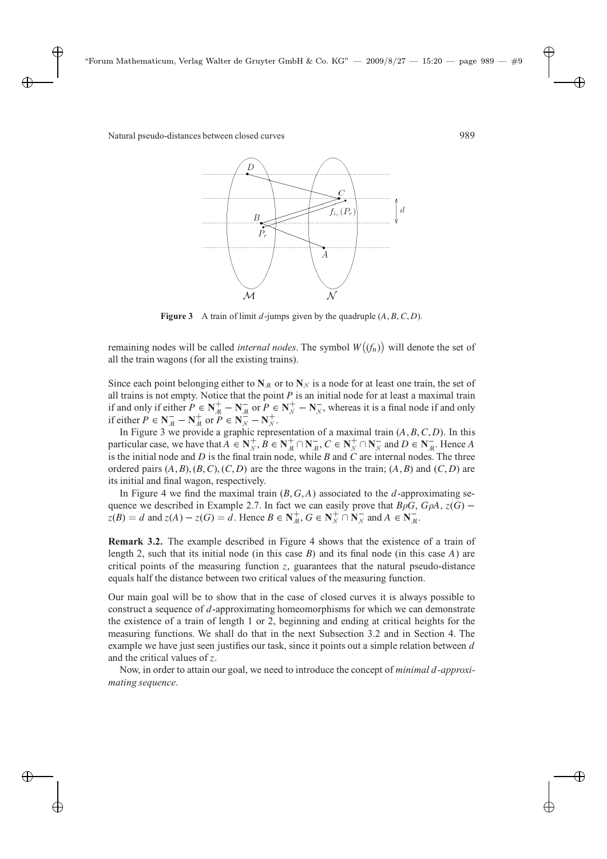

**Figure 3** A train of limit d-jumps given by the quadruple  $(A, B, C, D)$ .

remaining nodes will be called *internal nodes*. The symbol  $W(f_n)$  will denote the set of all the train wagons (for all the existing trains).

Since each point belonging either to  $N_M$  or to  $N_N$  is a node for at least one train, the set of all trains is not empty. Notice that the point  $P$  is an initial node for at least a maximal train if and only if either  $P \in \mathbb{N}_{\mathcal{M}}^+ - \mathbb{N}_{\mathcal{M}}^-$  or  $P \in \mathbb{N}_{\mathcal{N}}^+ - \mathbb{N}_{\mathcal{N}}^-$ , whereas it is a final node if and only if either  $P \in \mathbb{N}_{\mathcal{M}}^-$  –  $\mathbb{N}_{\mathcal{M}}^+$  or  $P \in \mathbb{N}_{\mathcal{N}}^-$  –  $\mathbb{N}_{\mathcal{N}}^+$ .

In Figure 3 we provide a graphic representation of a maximal train  $(A, B, C, D)$ . In this particular case, we have that  $A \in \mathbb{N}_{+}^{+}$ ,  $B \in \mathbb{N}_{+}^{+} \cap \mathbb{N}_{+}^{-}$ ,  $C \in \mathbb{N}_{+}^{+} \cap \mathbb{N}_{N}^{-}$  and  $D \in \mathbb{N}_{+}^{-}$ . Hence A is the initial node and  $D$  is the final train node, while  $B$  and  $C$  are internal nodes. The three ordered pairs  $(A, B), (B, C), (C, D)$  are the three wagons in the train;  $(A, B)$  and  $(C, D)$  are its initial and final wagon, respectively.

In Figure 4 we find the maximal train  $(B, G, A)$  associated to the d-approximating sequence we described in Example 2.7. In fact we can easily prove that  $B\rho G$ ,  $G\rho A$ ,  $z(G)$  –  $z(B) = d$  and  $z(A) - z(G) = d$ . Hence  $B \in \mathbb{N}_{\mathcal{M}}^+$ ,  $G \in \mathbb{N}_{\mathcal{N}}^+ \cap \mathbb{N}_{\mathcal{N}}^-$  and  $A \in \mathbb{N}_{\mathcal{M}}^-$ .

**Remark 3.2.** The example described in Figure 4 shows that the existence of a train of length 2, such that its initial node (in this case  $B$ ) and its final node (in this case  $A$ ) are critical points of the measuring function  $z$ , guarantees that the natural pseudo-distance equals half the distance between two critical values of the measuring function.

Our main goal will be to show that in the case of closed curves it is always possible to construct a sequence of d-approximating homeomorphisms for which we can demonstrate the existence of a train of length 1 or 2, beginning and ending at critical heights for the measuring functions. We shall do that in the next Subsection 3.2 and in Section 4. The example we have just seen justifies our task, since it points out a simple relation between  $d$ and the critical values of z.

Now, in order to attain our goal, we need to introduce the concept of *minimal* d*-approximating sequence*.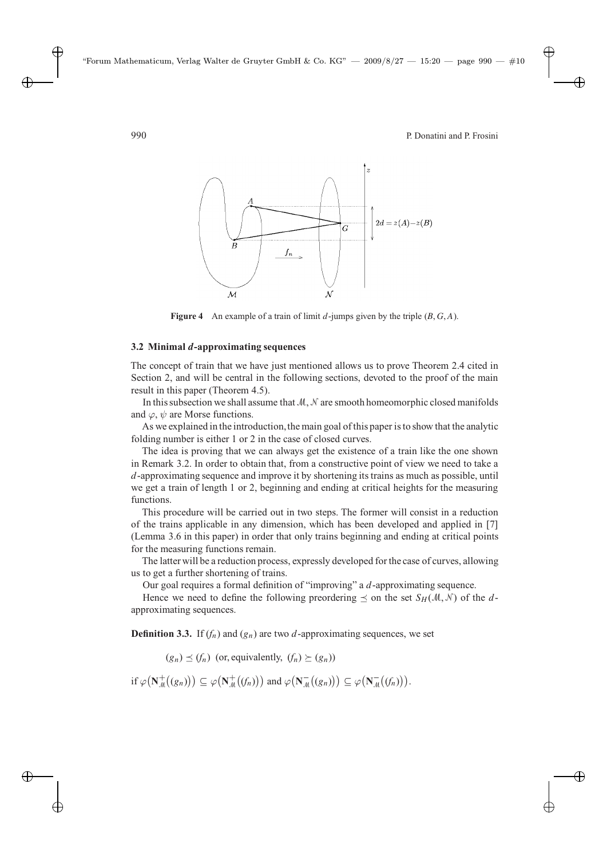

**Figure 4** An example of a train of limit  $d$ -jumps given by the triple  $(B, G, A)$ .

### **3.2 Minimal d-approximating sequences**

The concept of train that we have just mentioned allows us to prove Theorem 2.4 cited in Section 2, and will be central in the following sections, devoted to the proof of the main result in this paper (Theorem 4.5).

In this subsection we shall assume that  $M, N$  are smooth homeomorphic closed manifolds and  $\varphi$ ,  $\psi$  are Morse functions.

As we explained in the introduction, the main goal of this paper is to show that the analytic folding number is either 1 or 2 in the case of closed curves.

The idea is proving that we can always get the existence of a train like the one shown in Remark 3.2. In order to obtain that, from a constructive point of view we need to take a d-approximating sequence and improve it by shortening its trains as much as possible, until we get a train of length 1 or 2, beginning and ending at critical heights for the measuring functions.

This procedure will be carried out in two steps. The former will consist in a reduction of the trains applicable in any dimension, which has been developed and applied in [7] (Lemma 3.6 in this paper) in order that only trains beginning and ending at critical points for the measuring functions remain.

The latter will be a reduction process, expressly developed for the case of curves, allowing us to get a further shortening of trains.

Our goal requires a formal definition of "improving" a d-approximating sequence.

Hence we need to define the following preordering  $\prec$  on the set  $S_H(\mathcal{M}, \mathcal{N})$  of the dapproximating sequences.

**Definition 3.3.** If  $(f_n)$  and  $(g_n)$  are two d-approximating sequences, we set

 $(g_n) \preceq (f_n)$  (or, equivalently,  $(f_n) \succeq (g_n)$ )

if  $\varphi(\mathbf{N}_{\mathcal{M}}^{+}((g_{n}))) \subseteq \varphi(\mathbf{N}_{\mathcal{M}}^{+}((f_{n})))$  and  $\varphi(\mathbf{N}_{\mathcal{M}}^{-}((g_{n}))) \subseteq \varphi(\mathbf{N}_{\mathcal{M}}^{-}((f_{n}))).$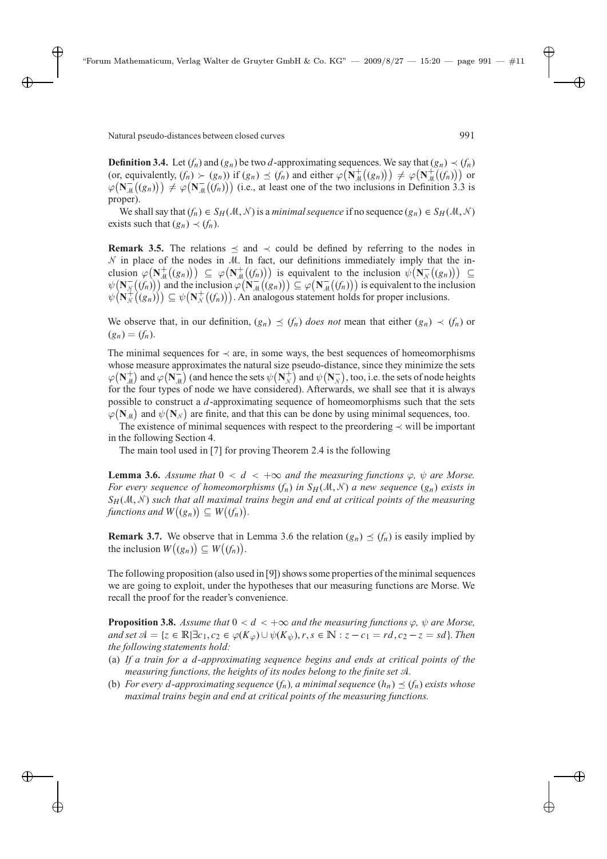**Definition 3.4.** Let  $(f_n)$  and  $(g_n)$  be two d-approximating sequences. We say that  $(g_n) \prec (f_n)$ (or, equivalently,  $(f_n) \succ (g_n)$ ) if  $(g_n) \preceq (f_n)$  and either  $\varphi(\mathbf{N}_{\mathcal{M}}^+((g_n))) \neq \varphi(\mathbf{N}_{\mathcal{M}}^+((f_n)))$  or  $\varphi(\mathbf{N}_{\mathcal{M}}^{-1}((g_n))) \neq \varphi(\mathbf{N}_{\mathcal{M}}^{-1}((f_n)))$  (i.e., at least one of the two inclusions in Definition 3.3 is  $\text{proper}$ ).

We shall say that  $(f_n) \in S_H(\mathcal{M}, \mathcal{N})$  is a *minimal sequence* if no sequence  $(g_n) \in S_H(\mathcal{M}, \mathcal{N})$ exists such that  $(g_n) \prec (f_n)$ .

**Remark 3.5.** The relations  $\leq$  and  $\lt$  could be defined by referring to the nodes in  $N$  in place of the nodes in M. In fact, our definitions immediately imply that the inclusion  $\varphi(\mathbf{N}_{\mathcal{M}}^{+}((g_{n}))) \subseteq \varphi(\mathbf{N}_{\mathcal{M}}^{+}((f_{n})))$  is equivalent to the inclusion  $\psi(\mathbf{N}_{\mathcal{N}}^{-}((g_{n}))) \subseteq$  $\psi(\mathbf{N}_{N}^{-}(f_{n}))$  and the inclusion  $\varphi(\mathbf{N}_{M}^{-}(g_{n})) \subseteq \varphi(\mathbf{N}_{M}^{-}(f_{n}))$  is equivalent to the inclusion  $\psi(\mathbf{N}_{N}^{+}(g_{n})) \subseteq \psi(\mathbf{N}_{N}^{+}(f_{n})).$  An analogous statement holds for proper inclusions.

We observe that, in our definition,  $(g_n) \preceq (f_n)$  *does not* mean that either  $(g_n) \prec (f_n)$  or  $(g_n) = (f_n).$ 

The minimal sequences for  $\prec$  are, in some ways, the best sequences of homeomorphisms whose measure approximates the natural size pseudo-distance, since they minimize the sets  $\varphi(\mathbf{N}_{\mathcal{M}}^{+})$  and  $\varphi(\mathbf{N}_{\mathcal{M}}^{-})$  (and hence the sets  $\psi(\mathbf{N}_{\mathcal{N}}^{+})$  and  $\psi(\mathbf{N}_{\mathcal{M}}^{-})$ , too, i.e. the sets of node heights for the four types of node we have considered). Afterwards, we shall see that it is always possible to construct a d-approximating sequence of homeomorphisms such that the sets  $\varphi(\mathbf{N}_{\mathcal{M}})$  and  $\psi(\mathbf{N}_{\mathcal{N}})$  are finite, and that this can be done by using minimal sequences, too.

The existence of minimal sequences with respect to the preordering  $\prec$  will be important in the following Section 4.

The main tool used in [7] for proving Theorem 2.4 is the following

**Lemma 3.6.** *Assume that*  $0 < d < +\infty$  *and the measuring functions*  $\varphi$ ,  $\psi$  *are Morse. For every sequence of homeomorphisms*  $(f_n)$  *in*  $S_H(\mathcal{M}, \mathcal{N})$  *a new sequence*  $(g_n)$  *exists in*  $S_H(\mathcal{M},\mathcal{N})$  *such that all maximal trains begin and end at critical points of the measuring* functions and  $W((g_n)) \subseteq W((f_n))$ .

**Remark 3.7.** We observe that in Lemma 3.6 the relation  $(g_n) \preceq (f_n)$  is easily implied by the inclusion  $W((g_n)) \subseteq W((f_n))$ .

The following proposition (also used in [9]) shows some properties of the minimal sequences we are going to exploit, under the hypotheses that our measuring functions are Morse. We recall the proof for the reader's convenience.

**Proposition 3.8.** *Assume that*  $0 < d < +\infty$  *and the measuring functions*  $\varphi$ ,  $\psi$  *are Morse*,  $and set \mathcal{A} = \{z \in \mathbb{R} | \exists c_1, c_2 \in \varphi(K_{\varphi}) \cup \psi(K_{\psi}), r, s \in \mathbb{N} : z - c_1 = rd, c_2 - z = sd\}.$  Then *the following statements hold:*

- (a) *If a train for a* d*-approximating sequence begins and ends at critical points of the measuring functions, the heights of its nodes belong to the finite set* A*.*
- (b) *For every d-approximating sequence*  $(f_n)$ *, a minimal sequence*  $(h_n) \preceq (f_n)$  *exists whose maximal trains begin and end at critical points of the measuring functions.*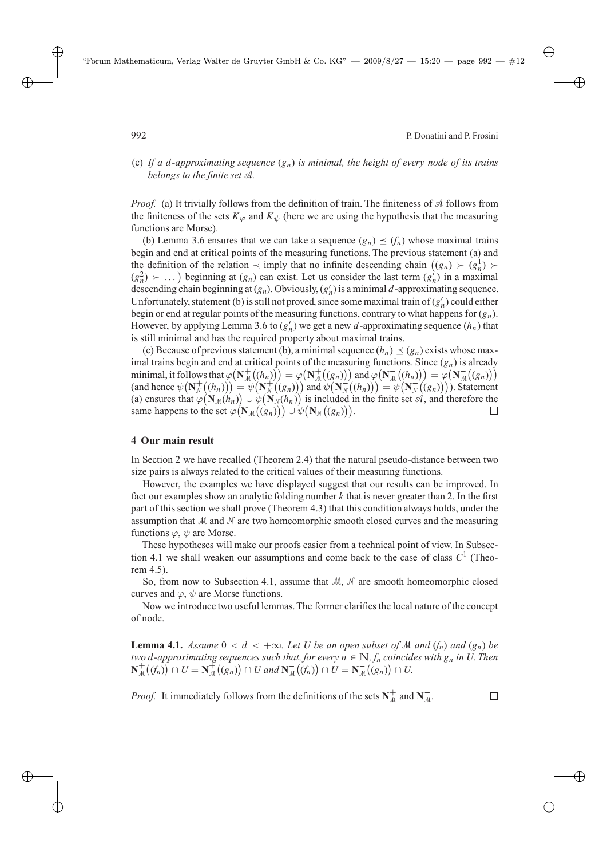$\Box$ 

(c) If a d-approximating sequence  $(g_n)$  is minimal, the height of every node of its trains *belongs to the finite set* A*.*

*Proof.* (a) It trivially follows from the definition of train. The finiteness of  $\mathcal A$  follows from the finiteness of the sets  $K_{\varphi}$  and  $K_{\psi}$  (here we are using the hypothesis that the measuring functions are Morse).

(b) Lemma 3.6 ensures that we can take a sequence  $(g_n) \preceq (f_n)$  whose maximal trains begin and end at critical points of the measuring functions. The previous statement (a) and the definition of the relation  $\prec$  imply that no infinite descending chain  $((g_n) \succ (g_n^1) \succ$  $(g_n^2) \succ \dots$ ) beginning at  $(g_n)$  can exist. Let us consider the last term  $(g_n)$  in a maximal descending chain beginning at  $(g_n)$ . Obviously,  $(g'_n)$  is a minimal d-approximating sequence. Unfortunately, statement (b) is still not proved, since some maximal train of  $(g'_n)$  could either begin or end at regular points of the measuring functions, contrary to what happens for  $(g_n)$ . However, by applying Lemma 3.6 to  $(g'_n)$  we get a new d-approximating sequence  $(h_n)$  that is still minimal and has the required property about maximal trains.

(c) Because of previous statement (b), a minimal sequence  $(h_n) \preceq (g_n)$  exists whose maximal trains begin and end at critical points of the measuring functions. Since  $(g_n)$  is already minimal, it follows that  $\varphi(\mathbf{N}_{\mathcal{M}}^{+}((h_{n}))=\varphi(\mathbf{N}_{\mathcal{M}}^{+}((g_{n})))$  and  $\varphi(\mathbf{N}_{\mathcal{M}}^{-}((h_{n})))=\varphi(\mathbf{N}_{\mathcal{M}}^{-}((g_{n})))$ (and hence  $\psi(\mathbf{N}_{N}^{+}((h_{n}))) = \psi(\mathbf{N}_{N}^{+}((g_{n})))$  and  $\psi(\mathbf{N}_{N}^{-}((h_{n}))) = \psi(\mathbf{N}_{N}^{-}((g_{n})))$ . Statement (a) ensures that  $\varphi(\mathbf{N}_{\mathcal{M}}(h_n)) \cup \psi(\mathbf{N}_{\mathcal{N}}(h_n))$  is included in the finite set  $\mathcal{A}$ , and therefore the same happens to the set  $\varphi(\mathbf{N}_{\mathcal{M}}((g_n))) \cup \psi(\mathbf{N}_{\mathcal{N}}((g_n))).$ 

#### **4 Our main result**

In Section 2 we have recalled (Theorem 2.4) that the natural pseudo-distance between two size pairs is always related to the critical values of their measuring functions.

However, the examples we have displayed suggest that our results can be improved. In fact our examples show an analytic folding number  $k$  that is never greater than 2. In the first part of this section we shall prove (Theorem 4.3) that this condition always holds, under the assumption that  $M$  and  $N$  are two homeomorphic smooth closed curves and the measuring functions  $\varphi$ ,  $\psi$  are Morse.

These hypotheses will make our proofs easier from a technical point of view. In Subsection 4.1 we shall weaken our assumptions and come back to the case of class  $C<sup>1</sup>$  (Theorem 4.5).

So, from now to Subsection 4.1, assume that  $M$ ,  $\mathcal N$  are smooth homeomorphic closed curves and  $\varphi$ ,  $\psi$  are Morse functions.

Now we introduce two useful lemmas. The former clarifies the local nature of the concept of node.

**Lemma 4.1.** *Assume*  $0 < d < +\infty$ *. Let* U *be an open subset of* M *and*  $(f_n)$  *and*  $(g_n)$  *be two* d-approximating sequences such that, for every  $n \in \mathbb{N}$ ,  $f_n$  coincides with  $g_n$  in U. Then **N**<sup>+</sup><sub>M</sub></sub>((*fn*)) ∩ *U* = **N**<sup>+</sup><sub>M</sub><sup>+</sup>((*gn*)</sub>) ∩ *U* and **N**<sub>M</sub><sup>-</sup>((*fn*)) ∩ *U* = **N**<sub>M</sub><sup>-</sup>((*gn*)) ∩ *U*.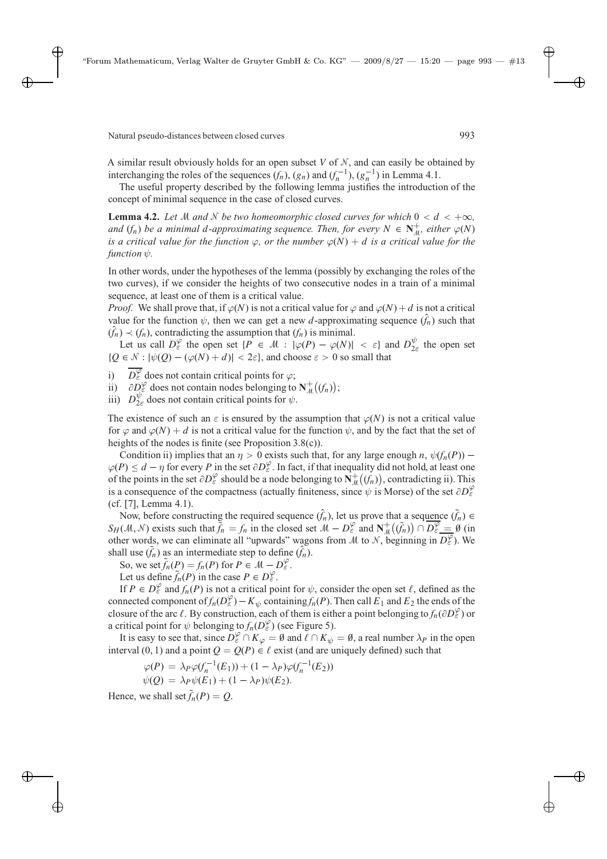A similar result obviously holds for an open subset  $V$  of  $N$ , and can easily be obtained by interchanging the roles of the sequences  $(f_n)$ ,  $(g_n)$  and  $(f_n^{-1})$ ,  $(g_n^{-1})$  in Lemma 4.1.

The useful property described by the following lemma justifies the introduction of the concept of minimal sequence in the case of closed curves.

**Lemma 4.2.** *Let* M *and* N *be two homeomorphic closed curves for which*  $0 < d < +\infty$ *, and*  $(f_n)$  *be a minimal d-approximating sequence. Then, for every*  $N \in \mathbb{N}_{\text{d}}^+$ , *either*  $\varphi(N)$ *is a critical value for the function*  $\varphi$ *, or the number*  $\varphi(N) + d$  *is a critical value for the*  $function \psi$ .

In other words, under the hypotheses of the lemma (possibly by exchanging the roles of the two curves), if we consider the heights of two consecutive nodes in a train of a minimal sequence, at least one of them is a critical value.

*Proof.* We shall prove that, if  $\varphi(N)$  is not a critical value for  $\varphi$  and  $\varphi(N)+d$  is not a critical value for the function  $\psi$ , then we can get a new d-approximating sequence  $(f_n)$  such that  $(\hat{f}_n) \prec (f_n)$ , contradicting the assumption that  $(f_n)$  is minimal.

Let us call  $D_{\varepsilon}^{\varphi}$  the open set  $\{P \in \mathcal{M} : |\varphi(P) - \varphi(N)| < \varepsilon\}$  and  $D_{2\varepsilon}^{\psi}$  the open set  ${Q \in \mathcal{N} : |\psi(Q) - (\varphi(N) + d)| < 2\varepsilon},$  and choose  $\varepsilon > 0$  so small that

i)  $\overline{D_{\varepsilon}^{\varphi}}$  does not contain critical points for  $\varphi$ ;

ii)  $\partial D_{\varepsilon}^{\varphi}$  does not contain nodes belonging to  $N_{\mu}^{+}((f_{n}))$ ;

iii)  $D_{2\varepsilon}^{\psi}$  does not contain critical points for  $\psi$ .

The existence of such an  $\varepsilon$  is ensured by the assumption that  $\varphi(N)$  is not a critical value for  $\varphi$  and  $\varphi$ (N) + d is not a critical value for the function  $\psi$ , and by the fact that the set of heights of the nodes is finite (see Proposition 3.8(c)).

Condition ii) implies that an  $\eta > 0$  exists such that, for any large enough n,  $\psi(f_n(P))$  –  $\varphi(P) \leq d - \eta$  for every P in the set  $\partial D_{\varepsilon}^{\varphi}$ . In fact, if that inequality did not hold, at least one of the points in the set  $\partial D_{\varepsilon}^{\varphi}$  should be a node belonging to  $\mathbf{N}_{\mu}^{+}((f_{n}))$ , contradicting ii). This is a consequence of the compactness (actually finiteness, since  $\psi$  is Morse) of the set  $\partial D_{\varepsilon}^{\varphi}$ (cf. [7], Lemma 4.1).

Now, before constructing the required sequence  $(\hat{f}_n)$ , let us prove that a sequence  $(\tilde{f}_n)$  ∈  $S_H(\mathcal{M}, \mathcal{N})$  exists such that  $\tilde{f}_n = f_n$  in the closed set  $\mathcal{M} - D_{\varepsilon}^{\varphi}$  and  $\mathbf{N}_{\mathcal{M}}^+(\tilde{f}_n) \cap D_{\varepsilon}^{\varphi} = \emptyset$  (in other words, we can eliminate all "upwards" wagons from M to N, beginning in  $\overline{D^{\varphi}_{\varepsilon}}$ ). We shall use  $(\tilde{f}_n)$  as an intermediate step to define  $(\hat{f}_n)$ .

So, we set  $\tilde{f}_n(P) = f_n(P)$  for  $P \in \mathcal{M} - D_{\varepsilon}^{\varphi}$ .

Let us define  $\tilde{f}_n(P)$  in the case  $P \in D_{\varepsilon}^{\varphi}$ .

If  $P \in D_{\varepsilon}^{\varphi}$  and  $f_n(P)$  is not a critical point for  $\psi$ , consider the open set  $\ell$ , defined as the connected component of  $f_n(D_{\varepsilon}^{\varphi}) - K_{\psi}$  containing  $f_n(P)$ . Then call  $E_1$  and  $E_2$  the ends of the closure of the arc  $\ell$ . By construction, each of them is either a point belonging to  $f_n(\partial D_\varepsilon^\varphi)$  or a critical point for  $\psi$  belonging to  $f_n(D_{\varepsilon}^{\varphi})$  (see Figure 5).

It is easy to see that, since  $D_{\varepsilon}^{\varphi} \cap K_{\varphi} = \emptyset$  and  $\ell \cap K_{\psi} = \emptyset$ , a real number  $\lambda_P$  in the open interval (0, 1) and a point  $Q = Q(P) \in \ell$  exist (and are uniquely defined) such that

$$
\varphi(P) = \lambda_P \varphi(f_n^{-1}(E_1)) + (1 - \lambda_P) \varphi(f_n^{-1}(E_2))
$$
  

$$
\psi(Q) = \lambda_P \psi(E_1) + (1 - \lambda_P) \psi(E_2).
$$

Hence, we shall set  $\tilde{f}_n(P) = Q$ .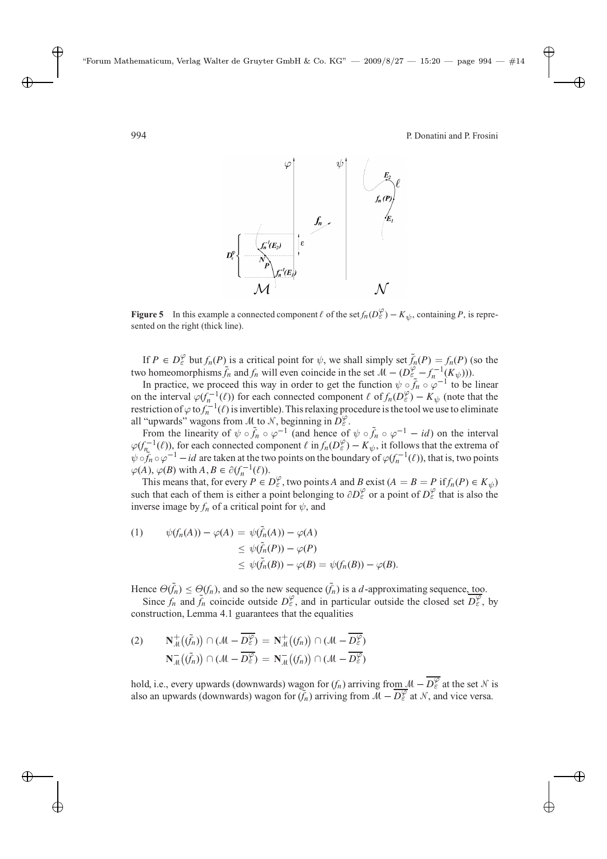

**Figure 5** In this example a connected component  $\ell$  of the set  $f_n(D_\epsilon^\varphi) - K_\psi$ , containing P, is represented on the right (thick line).

If  $P \in D_{\varepsilon}^{\varphi}$  but  $f_n(P)$  is a critical point for  $\psi$ , we shall simply set  $\tilde{f}_n(P) = f_n(P)$  (so the two homeomorphisms  $\tilde{f}_n$  and  $f_n$  will even coincide in the set  $M - (D \varepsilon - f_n^{-1}(K \psi)))$ .

In practice, we proceed this way in order to get the function  $\psi \circ \tilde{f}_n \circ \varphi^{-1}$  to be linear on the interval  $\varphi(f_n^{-1}(\ell))$  for each connected component  $\ell$  of  $f_n(D_\varepsilon^\varphi) - K_\psi$  (note that the restriction of  $\varphi$  to  $f_n^{-1}(\ell)$  is invertible). This relaxing procedure is the tool we use to eliminate all "upwards" wagons from M to N, beginning in  $D_{\varepsilon}^{\varphi}$ .

From the linearity of  $\psi \circ \tilde{f}_n \circ \varphi^{-1}$  (and hence of  $\psi \circ \tilde{f}_n \circ \varphi^{-1} - id$ ) on the interval  $\varphi(f_n^{-1}(\ell))$ , for each connected component  $\ell$  in  $f_n(D_\varepsilon^\varphi) - K_\psi$ , it follows that the extrema of  $\psi \circ \tilde{f}_n \circ \varphi^{-1} - id$  are taken at the two points on the boundary of  $\varphi(f_n^{-1}(\ell))$ , that is, two points  $\varphi(A), \varphi(B)$  with  $A, B \in \partial(f_n^{-1}(\ell)).$ 

This means that, for every  $P \in D_{\varepsilon}^{\varphi}$ , two points A and B exist  $(A = B = P$  if  $f_n(P) \in K_{\psi}$ such that each of them is either a point belonging to  $\partial D_{\varepsilon}^{\varphi}$  or a point of  $D_{\varepsilon}^{\varphi}$  that is also the inverse image by  $f_n$  of a critical point for  $\psi$ , and

(1) 
$$
\psi(f_n(A)) - \varphi(A) = \psi(\tilde{f}_n(A)) - \varphi(A)
$$

$$
\leq \psi(\tilde{f}_n(P)) - \varphi(P)
$$

$$
\leq \psi(\tilde{f}_n(B)) - \varphi(B) = \psi(f_n(B)) - \varphi(B).
$$

Hence  $\Theta(\tilde{f}_n) \leq \Theta(f_n)$ , and so the new sequence  $(\tilde{f}_n)$  is a *d*-approximating sequence, <u>to</u>o.

Since  $f_n$  and  $\tilde{f}_n$  coincide outside  $D_{\varepsilon}^{\varphi}$ , and in particular outside the closed set  $\overline{D_{\varepsilon}^{\varphi}}$ , by construction, Lemma 4.1 guarantees that the equalities

(2) 
$$
\mathbf{N}_{\mathcal{M}}^{+}(\tilde{f}_{n}) \cap (\mathcal{M} - \overline{D_{\varepsilon}^{\varphi}}) = \mathbf{N}_{\mathcal{M}}^{+}(f_{n}) \cap (\mathcal{M} - \overline{D_{\varepsilon}^{\varphi}})
$$

$$
\mathbf{N}_{\mathcal{M}}^{-}(\tilde{f}_{n}) \cap (\mathcal{M} - \overline{D_{\varepsilon}^{\varphi}}) = \mathbf{N}_{\mathcal{M}}^{-}(f_{n}) \cap (\mathcal{M} - \overline{D_{\varepsilon}^{\varphi}})
$$

hold, i.e., every upwards (downwards) wagon for  $(f_n)$  arriving from  $M - \overline{D_{\varepsilon}^{\varphi}}$  at the set N is also an upwards (downwards) wagon for  $(\tilde{f}_n)$  arriving from  $\tilde{M} - \overline{D_{\epsilon}^{\varphi}}$  at  $\tilde{N}$ , and vice versa.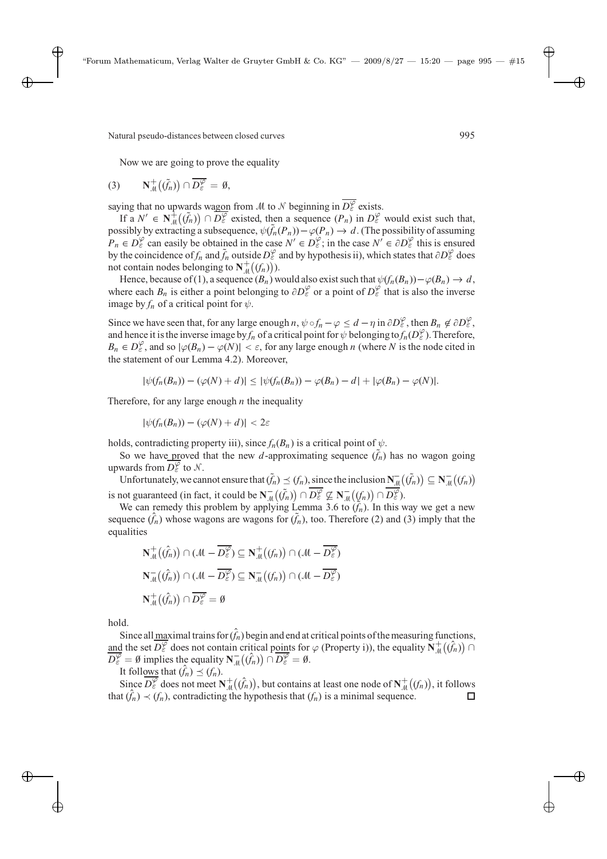Now we are going to prove the equality

$$
(3) \qquad \mathbf{N}_{\mathcal{M}}^{+}\big(\tilde{f}_{n}\big)\big) \cap \overline{D_{\varepsilon}^{\varphi}} = \emptyset,
$$

saying that no upwards wagon from M to N beginning in  $\overline{D_{\varepsilon}^{\varphi}}$  exists.

If a  $N' \in \mathbb{N}_{\mathcal{M}}^+(\tilde{f}_n) \cap \overline{D_{\varepsilon}^{\varphi}}$  existed, then a sequence  $(P_n)$  in  $D_{\varepsilon}^{\varphi}$  would exist such that, possibly by extracting a subsequence,  $\psi(\tilde{f}_n(P_n)) - \varphi(P_n) \to d$ . (The possibility of assuming  $P_n \in D_{\varepsilon}^{\varphi}$  can easily be obtained in the case  $N' \in D_{\varepsilon}^{\varphi}$ ; in the case  $N' \in \partial D_{\varepsilon}^{\varphi}$  this is ensured by the coincidence of *f<sub>n</sub>* and  $\tilde{f}_n$  outside  $D_\varepsilon^\varphi$  and by hypothesis ii), which states that  $\partial D_\varepsilon^\varphi$  does not contain nodes belonging to  $N^+_{\mathcal{M}}((f_n))$ ).

Hence, because of (1), a sequence  $(B_n)$  would also exist such that  $\psi(f_n(B_n)) - \varphi(B_n) \to d$ , where each  $B_n$  is either a point belonging to  $\partial D_{\varepsilon}^{\varphi}$  or a point of  $D_{\varepsilon}^{\varphi}$  that is also the inverse image by  $f_n$  of a critical point for  $\psi$ .

Since we have seen that, for any large enough  $n, \psi \circ f_n - \varphi \leq d - \eta$  in  $\partial D_{\varepsilon}^{\varphi}$ , then  $B_n \notin \partial D_{\varepsilon}^{\varphi}$ , and hence it is the inverse image by  $f_n$  of a critical point for  $\psi$  belonging to  $f_n(D_\varepsilon^\varphi)$ . Therefore,  $B_n \in D_\varepsilon^\varphi$ , and so  $|\varphi(B_n) - \varphi(N)| < \varepsilon$ , for any large enough n (where N is the node cited in the statement of our Lemma 4.2). Moreover,

$$
|\psi(f_n(B_n)) - (\varphi(N) + d)| \leq |\psi(f_n(B_n)) - \varphi(B_n) - d| + |\varphi(B_n) - \varphi(N)|.
$$

Therefore, for any large enough  $n$  the inequality

 $|\psi(f_n(B_n)) - (\varphi(N) + d)| < 2\varepsilon$ 

holds, contradicting property iii), since  $f_n(B_n)$  is a critical point of  $\psi$ .

So we have proved that the new  $d$ -approximating sequence  $(f_n)$  has no wagon going upwards from  $\overline{D_{\varepsilon}^{\varphi}}$  to  $\mathcal{N}$ .

Unfortunately, we cannot ensure that  $(\tilde{f}_n) \preceq (f_n)$ , since the inclusion  $\mathbf{N}_{\mathcal{M}}^ ((\tilde{f}_n)) \subseteq \mathbf{N}_{\mathcal{M}}^ ((f_n))$ is not guaranteed (in fact, it could be  $N_{\overline{A}}^{-}(\tilde{f}_n) \cap \overline{D_{\varepsilon}^{\varphi}} \not\subseteq N_{\overline{A}}^{-}((f_n) \cap \overline{D_{\varepsilon}^{\varphi}})$ .

We can remedy this problem by applying Lemma 3.6 to  $(\hat{f}_n)$ . In this way we get a new sequence  $(\hat{f}_n)$  whose wagons are wagons for  $(\tilde{f}_n)$ , too. Therefore (2) and (3) imply that the equalities

$$
N_{\mathcal{M}}^{+}(\hat{f}_{n})\cap(\mathcal{M}-\overline{D_{\varepsilon}^{\varphi}})\subseteq N_{\mathcal{M}}^{+}((f_{n}))\cap(\mathcal{M}-\overline{D_{\varepsilon}^{\varphi}})
$$

$$
N_{\mathcal{M}}^{-}(\hat{f}_{n})\cap(\mathcal{M}-\overline{D_{\varepsilon}^{\varphi}})\subseteq N_{\mathcal{M}}^{-}((f_{n}))\cap(\mathcal{M}-\overline{D_{\varepsilon}^{\varphi}})
$$

$$
N_{\mathcal{M}}^{+}(\hat{f}_{n})\cap\overline{D_{\varepsilon}^{\varphi}}=\emptyset
$$

hold.

Since all maximal trains for  $(\hat{f}_n)$  begin and end at critical points of the measuring functions, and the set  $\overline{D_{\epsilon}^{\varphi}}$  does not contain critical points for  $\varphi$  (Property i)), the equality  $\mathbf{N}_{\mu}^{+}(\hat{f}_{n})$  $\overline{D_{\varepsilon}^{\varphi}} = \emptyset$  implies the equality  $\overline{N_{\mathcal{M}}}(f_n) \cap \overline{D_{\varepsilon}^{\varphi}} = \emptyset$ .

It follows that  $(\hat{f}_n) \preceq (f_n)$ .

Since  $\overline{D_{\varepsilon}^{\varphi}}$  does not meet  $\mathbf{N}_{\mu}^{+}(\hat{f}_{n})$ , but contains at least one node of  $\mathbf{N}_{\mu}^{+}((f_{n}))$ , it follows that  $(\hat{f}_n) \prec (f_n)$ , contradicting the hypothesis that  $(f_n)$  is a minimal sequence.  $\Box$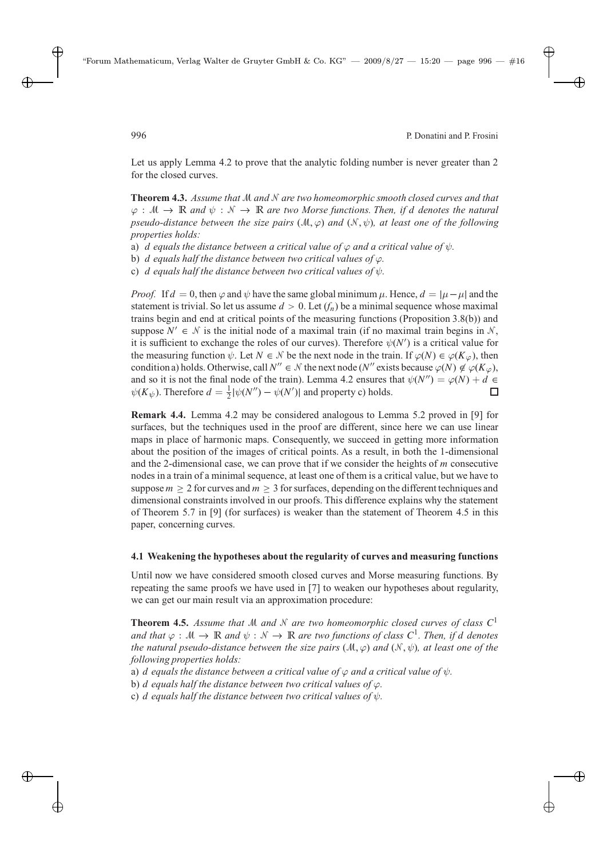Let us apply Lemma 4.2 to prove that the analytic folding number is never greater than 2 for the closed curves.

**Theorem 4.3.** *Assume that* M *and* N *are two homeomorphic smooth closed curves and that*  $\varphi : \mathcal{M} \to \mathbb{R}$  and  $\psi : \mathcal{N} \to \mathbb{R}$  are two Morse functions. Then, if d denotes the natural *pseudo-distance between the size pairs*  $(M, \varphi)$  *and*  $(N, \psi)$ *, at least one of the following properties holds:*

- a) d equals the distance between a critical value of  $\varphi$  and a critical value of  $\psi$ .
- b) d *equals half the distance between two critical values of* ϕ*.*
- c) d *equals half the distance between two critical values of* ψ*.*

*Proof.* If  $d = 0$ , then  $\varphi$  and  $\psi$  have the same global minimum  $\mu$ . Hence,  $d = |\mu - \mu|$  and the statement is trivial. So let us assume  $d > 0$ . Let  $(f_n)$  be a minimal sequence whose maximal trains begin and end at critical points of the measuring functions (Proposition 3.8(b)) and suppose  $N' \in \mathcal{N}$  is the initial node of a maximal train (if no maximal train begins in  $\mathcal{N}$ , it is sufficient to exchange the roles of our curves). Therefore  $\psi(N')$  is a critical value for the measuring function  $\psi$ . Let  $N \in \mathcal{N}$  be the next node in the train. If  $\varphi(N) \in \varphi(K_{\varphi})$ , then condition a) holds. Otherwise, call  $N'' \in \mathcal{N}$  the next node (N'' exists because  $\varphi(N) \notin \varphi(K_{\varphi})$ , and so it is not the final node of the train). Lemma 4.2 ensures that  $\psi(N'') = \varphi(N) + d \in$  $\psi(K_{\psi})$ . Therefore  $d = \frac{1}{2} |\psi(N'') - \psi(N')|$  and property c) holds.  $\Box$ 

**Remark 4.4.** Lemma 4.2 may be considered analogous to Lemma 5.2 proved in [9] for surfaces, but the techniques used in the proof are different, since here we can use linear maps in place of harmonic maps. Consequently, we succeed in getting more information about the position of the images of critical points. As a result, in both the 1-dimensional and the 2-dimensional case, we can prove that if we consider the heights of  $m$  consecutive nodes in a train of a minimal sequence, at least one of them is a critical value, but we have to suppose  $m > 2$  for curves and  $m > 3$  for surfaces, depending on the different techniques and dimensional constraints involved in our proofs. This difference explains why the statement of Theorem 5.7 in [9] (for surfaces) is weaker than the statement of Theorem 4.5 in this paper, concerning curves.

### **4.1 Weakening the hypotheses about the regularity of curves and measuring functions**

Until now we have considered smooth closed curves and Morse measuring functions. By repeating the same proofs we have used in [7] to weaken our hypotheses about regularity, we can get our main result via an approximation procedure:

**Theorem 4.5.** Assume that M and N are two homeomorphic closed curves of class  $C^1$ *and that*  $\varphi : \mathcal{M} \to \mathbb{R}$  *and*  $\psi : \mathcal{N} \to \mathbb{R}$  *are two functions of class*  $C^1$ *. Then, if d denotes the natural pseudo-distance between the size pairs*  $(M, \varphi)$  *and*  $(N, \psi)$ *, at least one of the following properties holds:*

- a) d equals the distance between a critical value of  $\varphi$  and a critical value of  $\psi$ .
- b) *d* equals half the distance between two critical values of  $\varphi$ .
- c) d *equals half the distance between two critical values of* ψ*.*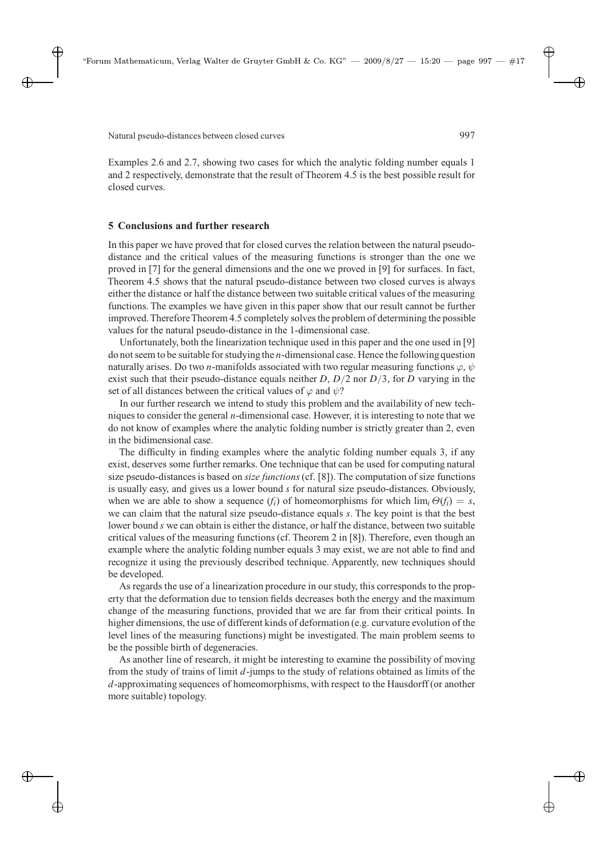Examples 2.6 and 2.7, showing two cases for which the analytic folding number equals 1 and 2 respectively, demonstrate that the result of Theorem 4.5 is the best possible result for closed curves.

### **5 Conclusions and further research**

In this paper we have proved that for closed curves the relation between the natural pseudodistance and the critical values of the measuring functions is stronger than the one we proved in [7] for the general dimensions and the one we proved in [9] for surfaces. In fact, Theorem 4.5 shows that the natural pseudo-distance between two closed curves is always either the distance or half the distance between two suitable critical values of the measuring functions. The examples we have given in this paper show that our result cannot be further improved. Therefore Theorem 4.5 completely solves the problem of determining the possible values for the natural pseudo-distance in the 1-dimensional case.

Unfortunately, both the linearization technique used in this paper and the one used in [9] do not seem to be suitable for studying the *n*-dimensional case. Hence the following question naturally arises. Do two *n*-manifolds associated with two regular measuring functions  $\varphi$ ,  $\psi$ exist such that their pseudo-distance equals neither  $D$ ,  $D/2$  nor  $D/3$ , for D varying in the set of all distances between the critical values of  $\varphi$  and  $\psi$ ?

In our further research we intend to study this problem and the availability of new techniques to consider the general  $n$ -dimensional case. However, it is interesting to note that we do not know of examples where the analytic folding number is strictly greater than 2, even in the bidimensional case.

The difficulty in finding examples where the analytic folding number equals 3, if any exist, deserves some further remarks. One technique that can be used for computing natural size pseudo-distances is based on *size functions*(cf. [8]). The computation of size functions is usually easy, and gives us a lower bound  $s$  for natural size pseudo-distances. Obviously, when we are able to show a sequence  $(f_i)$  of homeomorphisms for which  $\lim_i \Theta(f_i) = s$ , we can claim that the natural size pseudo-distance equals s. The key point is that the best lower bound  $s$  we can obtain is either the distance, or half the distance, between two suitable critical values of the measuring functions (cf. Theorem 2 in [8]). Therefore, even though an example where the analytic folding number equals 3 may exist, we are not able to find and recognize it using the previously described technique. Apparently, new techniques should be developed.

As regards the use of a linearization procedure in our study, this corresponds to the property that the deformation due to tension fields decreases both the energy and the maximum change of the measuring functions, provided that we are far from their critical points. In higher dimensions, the use of different kinds of deformation (e.g. curvature evolution of the level lines of the measuring functions) might be investigated. The main problem seems to be the possible birth of degeneracies.

As another line of research, it might be interesting to examine the possibility of moving from the study of trains of limit  $d$ -jumps to the study of relations obtained as limits of the d-approximating sequences of homeomorphisms, with respect to the Hausdorff (or another more suitable) topology.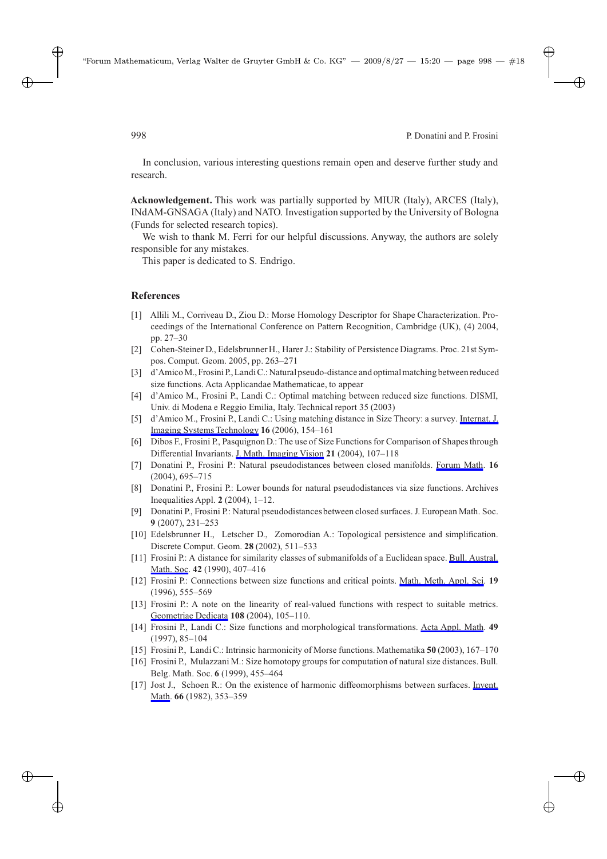In conclusion, various interesting questions remain open and deserve further study and research.

**Acknowledgement.** This work was partially supported by MIUR (Italy), ARCES (Italy), INdAM-GNSAGA (Italy) and NATO. Investigation supported by the University of Bologna (Funds for selected research topics).

We wish to thank M. Ferri for our helpful discussions. Anyway, the authors are solely responsible for any mistakes.

This paper is dedicated to S. Endrigo.

## **References**

- [1] Allili M., Corriveau D., Ziou D.: Morse Homology Descriptor for Shape Characterization. Proceedings of the International Conference on Pattern Recognition, Cambridge (UK), (4) 2004, pp. 27–30
- [2] Cohen-Steiner D., Edelsbrunner H., Harer J.: Stability of Persistence Diagrams. Proc. 21st Sympos. Comput. Geom. 2005, pp. 263–271
- [3] d'AmicoM., Frosini P., LandiC.: Natural pseudo-distance and optimalmatching between reduced size functions. Acta Applicandae Mathematicae, to appear
- [4] d'Amico M., Frosini P., Landi C.: Optimal matching between reduced size functions. DISMI, Univ. di Modena e Reggio Emilia, Italy. Technical report 35 (2003)
- [5] d'Amico M., Frosini P., Landi C.: Using matching distance in Size Theory: a survey. Internat. J. Imaging Systems Technology **16** (2006), 154–161
- [6] Dibos F., Frosini P., Pasquignon D.: The use of Size Functions for Comparison of Shapes through Differential Invariants. J. Math. Imaging Vision **21** (2004), 107–118
- [7] Donatini P., Frosini P.: Natural pseudodistances between closed manifolds. Forum Math. **16** (2004), 695–715
- [8] Donatini P., Frosini P.: Lower bounds for natural pseudodistances via size functions. Archives Inequalities Appl. **2** (2004), 1–12.
- [9] Donatini P., Frosini P.: Natural pseudodistances between closed surfaces. J. European Math. Soc. **9** (2007), 231–253
- [10] Edelsbrunner H., Letscher D., Zomorodian A.: Topological persistence and simplification. Discrete Comput. Geom. **28** (2002), 511–533
- [11] Frosini P.: A distance for similarity classes of submanifolds of a Euclidean space. Bull. Austral. Math. Soc. **42** (1990), 407–416
- [12] Frosini P.: Connections between size functions and critical points. Math. Meth. Appl. Sci. **19** (1996), 555–569
- [13] Frosini P.: A note on the linearity of real-valued functions with respect to suitable metrics. Geometriae Dedicata **108** (2004), 105–110.
- [14] Frosini P., Landi C.: Size functions and morphological transformations. Acta Appl. Math. **49** (1997), 85–104
- [15] Frosini P., Landi C.: Intrinsic harmonicity of Morse functions. Mathematika **50** (2003), 167–170
- [16] Frosini P., Mulazzani M.: Size homotopy groups for computation of natural size distances. Bull. Belg. Math. Soc. **6** (1999), 455–464
- [17] Jost J., Schoen R.: On the existence of harmonic diffeomorphisms between surfaces. Invent. Math. **66** (1982), 353–359